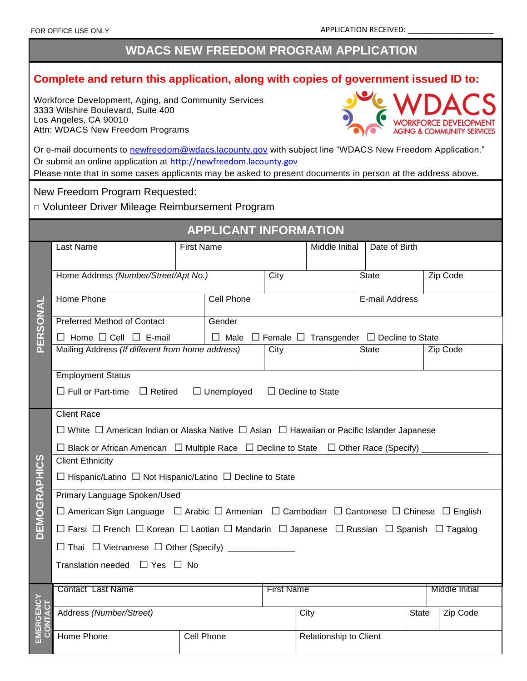# **WDACS NEW FREEDOM PROGRAM APPLICATION**

# **Complete and return this application, along with copies of government issued ID to:**

Workforce Development, Aging, and Community Services 3333 Wilshire Boulevard, Suite 400 Los Angeles, CA 90010 Attn: WDACS New Freedom Programs



| Or e-mail documents to newfreedom@wdacs.lacounty.gov with subject line "WDACS New Freedom Application."     |
|-------------------------------------------------------------------------------------------------------------|
| Or submit an online application at http://newfreedom.lacounty.gov                                           |
| Please note that in some cases applicants may be asked to present documents in person at the address above. |

New Freedom Program Requested:

□ Volunteer Driver Mileage Reimbursement Program

|                      |                                                                                                                                      | <b>APPLICANT INFORMATION</b> |                        |                      |                                                                      |                       |          |  |  |  |
|----------------------|--------------------------------------------------------------------------------------------------------------------------------------|------------------------------|------------------------|----------------------|----------------------------------------------------------------------|-----------------------|----------|--|--|--|
|                      | Last Name                                                                                                                            | <b>First Name</b>            |                        | Middle Initial       | Date of Birth                                                        |                       |          |  |  |  |
| PERSONAL             | Home Address (Number/Street/Apt No.)                                                                                                 |                              | City                   |                      | State                                                                |                       | Zip Code |  |  |  |
|                      | <b>Home Phone</b>                                                                                                                    | <b>Cell Phone</b>            |                        |                      | E-mail Address                                                       |                       |          |  |  |  |
|                      | <b>Preferred Method of Contact</b>                                                                                                   | Gender                       |                        |                      |                                                                      |                       |          |  |  |  |
|                      | $\Box$ Home $\Box$ Cell $\Box$ E-mail                                                                                                |                              |                        |                      | $\Box$ Male $\Box$ Female $\Box$ Transgender $\Box$ Decline to State |                       |          |  |  |  |
|                      | Mailing Address (If different from home address)                                                                                     |                              | City                   |                      | <b>State</b>                                                         |                       | Zip Code |  |  |  |
|                      | <b>Employment Status</b><br>$\Box$ Full or Part-time $\Box$ Retired<br>$\Box$ Unemployed $\Box$ Decline to State                     |                              |                        |                      |                                                                      |                       |          |  |  |  |
|                      | <b>Client Race</b>                                                                                                                   |                              |                        |                      |                                                                      |                       |          |  |  |  |
|                      | $\Box$ White $\Box$ American Indian or Alaska Native $\Box$ Asian $\Box$ Hawaiian or Pacific Islander Japanese                       |                              |                        |                      |                                                                      |                       |          |  |  |  |
|                      | $\Box$ Black or African American $\Box$ Multiple Race $\Box$ Decline to State $\Box$ Other Race (Specify)                            |                              |                        |                      |                                                                      |                       |          |  |  |  |
| <b>DEMOGRAPHICS</b>  | <b>Client Ethnicity</b>                                                                                                              |                              |                        |                      |                                                                      |                       |          |  |  |  |
|                      | $\Box$ Hispanic/Latino $\Box$ Not Hispanic/Latino $\Box$ Decline to State                                                            |                              |                        |                      |                                                                      |                       |          |  |  |  |
|                      | Primary Language Spoken/Used                                                                                                         |                              |                        |                      |                                                                      |                       |          |  |  |  |
|                      | $\Box$ American Sign Language $\Box$ Arabic $\Box$ Armenian $\Box$ Cambodian $\Box$ Cantonese $\Box$ Chinese $\Box$ English          |                              |                        |                      |                                                                      |                       |          |  |  |  |
|                      | $\Box$ Farsi $\Box$ French $\Box$ Korean $\Box$ Laotian $\Box$ Mandarin $\Box$ Japanese $\Box$ Russian $\Box$ Spanish $\Box$ Tagalog |                              |                        |                      |                                                                      |                       |          |  |  |  |
|                      | □ Thai □ Vietnamese □ Other (Specify) _____________                                                                                  |                              |                        |                      |                                                                      |                       |          |  |  |  |
|                      | Translation needed $\Box$ Yes $\Box$ No                                                                                              |                              |                        |                      |                                                                      |                       |          |  |  |  |
|                      |                                                                                                                                      |                              |                        |                      |                                                                      |                       |          |  |  |  |
| EMERGENCY<br>CONTACT | Contact Last Name                                                                                                                    |                              | <b>First Name</b>      |                      |                                                                      | <b>Middle Initial</b> |          |  |  |  |
|                      | Address (Number/Street)                                                                                                              |                              |                        | City<br><b>State</b> |                                                                      |                       | Zip Code |  |  |  |
|                      | Home Phone                                                                                                                           |                              | Relationship to Client |                      |                                                                      |                       |          |  |  |  |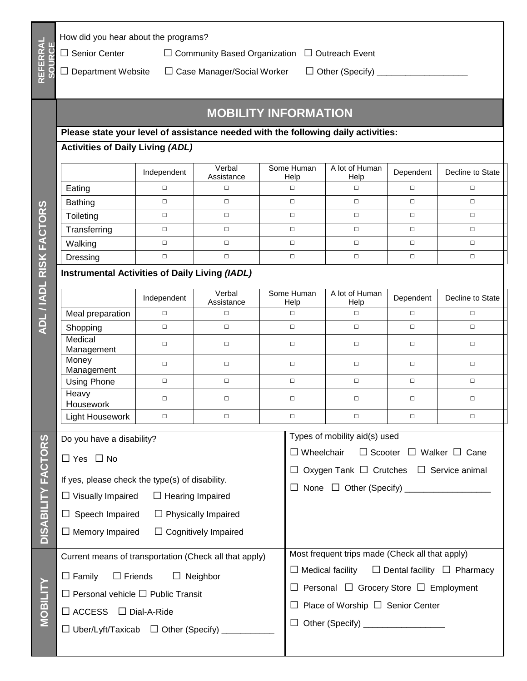|                         | How did you hear about the programs?                                              |             |                                   |                                             |                                                                |                                                               |           |                  |  |  |
|-------------------------|-----------------------------------------------------------------------------------|-------------|-----------------------------------|---------------------------------------------|----------------------------------------------------------------|---------------------------------------------------------------|-----------|------------------|--|--|
|                         | $\Box$ Senior Center<br>$\Box$ Community Based Organization $\Box$ Outreach Event |             |                                   |                                             |                                                                |                                                               |           |                  |  |  |
| REFERRAL<br>SOURCE      | $\Box$ Department Website                                                         |             | $\Box$ Case Manager/Social Worker |                                             |                                                                | $\Box$ Other (Specify) $\Box$                                 |           |                  |  |  |
|                         |                                                                                   |             |                                   |                                             |                                                                |                                                               |           |                  |  |  |
|                         |                                                                                   |             |                                   |                                             |                                                                |                                                               |           |                  |  |  |
|                         |                                                                                   |             | <b>MOBILITY INFORMATION</b>       |                                             |                                                                |                                                               |           |                  |  |  |
|                         | Please state your level of assistance needed with the following daily activities: |             |                                   |                                             |                                                                |                                                               |           |                  |  |  |
|                         | <b>Activities of Daily Living (ADL)</b>                                           |             |                                   |                                             |                                                                |                                                               |           |                  |  |  |
|                         |                                                                                   | Independent | Verbal<br>Assistance              | Some Human<br>Help                          |                                                                | A lot of Human<br>Help                                        | Dependent | Decline to State |  |  |
|                         | Eating                                                                            | $\Box$      | $\Box$                            | $\Box$                                      |                                                                | $\Box$                                                        | $\Box$    | $\Box$           |  |  |
|                         | <b>Bathing</b>                                                                    | $\Box$      | $\Box$                            | $\Box$                                      |                                                                | $\Box$                                                        | $\Box$    | $\Box$           |  |  |
|                         | Toileting                                                                         | $\Box$      | $\Box$                            | $\Box$                                      |                                                                | $\Box$                                                        | $\Box$    | $\Box$           |  |  |
| ADL / IADL RISK FACTORS | Transferring                                                                      | $\Box$      | $\Box$                            | $\Box$                                      |                                                                | $\Box$                                                        | $\Box$    | $\Box$           |  |  |
|                         | Walking                                                                           | $\Box$      | $\Box$                            |                                             | $\Box$                                                         | $\Box$                                                        | $\Box$    | $\Box$           |  |  |
|                         | Dressing                                                                          | $\Box$      | $\Box$                            | $\Box$                                      |                                                                | $\Box$                                                        | $\Box$    | $\Box$           |  |  |
|                         | <b>Instrumental Activities of Daily Living (IADL)</b>                             |             |                                   |                                             |                                                                |                                                               |           |                  |  |  |
|                         |                                                                                   | Independent | Verbal<br>Assistance              | Some Human<br>Help                          |                                                                | A lot of Human<br>Help                                        | Dependent | Decline to State |  |  |
|                         | Meal preparation                                                                  | $\Box$      | $\Box$                            | $\Box$                                      |                                                                | $\Box$                                                        | $\Box$    | $\Box$           |  |  |
|                         | Shopping                                                                          | $\Box$      | $\Box$                            | $\Box$                                      |                                                                | $\Box$                                                        | $\Box$    | $\Box$           |  |  |
|                         | Medical<br>Management                                                             | $\Box$      | $\Box$                            | $\Box$                                      |                                                                | $\Box$                                                        | $\Box$    | $\Box$           |  |  |
|                         | Money<br>Management                                                               | $\Box$      | $\Box$                            | $\Box$                                      |                                                                | $\Box$                                                        | $\Box$    | $\Box$           |  |  |
|                         | <b>Using Phone</b>                                                                | $\Box$      | $\Box$                            | $\Box$                                      |                                                                | $\Box$                                                        | $\Box$    | $\Box$           |  |  |
|                         | Heavy<br>Housework                                                                | $\Box$      | $\Box$                            | $\Box$                                      |                                                                | $\Box$                                                        | $\Box$    | $\Box$           |  |  |
|                         | Light Housework                                                                   | $\Box$      | $\Box$                            | $\Box$                                      |                                                                | $\Box$                                                        | $\Box$    | $\Box$           |  |  |
|                         | Do you have a disability?                                                         |             |                                   |                                             |                                                                | Types of mobility aid(s) used                                 |           |                  |  |  |
| <b>FACTORS</b>          | $\Box$ Yes $\Box$ No                                                              |             |                                   |                                             |                                                                | $\Box$ Scooter $\Box$ Walker $\Box$ Cane<br>$\Box$ Wheelchair |           |                  |  |  |
|                         |                                                                                   |             |                                   |                                             | $\Box$ Oxygen Tank $\Box$ Crutches $\Box$ Service animal       |                                                               |           |                  |  |  |
|                         | If yes, please check the type(s) of disability.                                   |             |                                   |                                             | $\Box$ None $\Box$ Other (Specify) _____________________       |                                                               |           |                  |  |  |
| <b>DISABILITY</b>       | $\Box$ Visually Impaired $\Box$ Hearing Impaired                                  |             |                                   |                                             |                                                                |                                                               |           |                  |  |  |
|                         | $\Box$ Speech Impaired<br>$\Box$ Physically Impaired                              |             |                                   |                                             |                                                                |                                                               |           |                  |  |  |
|                         | $\Box$ Memory Impaired<br>$\Box$ Cognitively Impaired                             |             |                                   |                                             |                                                                |                                                               |           |                  |  |  |
|                         | Current means of transportation (Check all that apply)                            |             |                                   |                                             | Most frequent trips made (Check all that apply)                |                                                               |           |                  |  |  |
| <b>MOBILITY</b>         | $\Box$ Friends<br>$\Box$ Family<br>$\Box$ Neighbor                                |             |                                   |                                             | $\Box$ Medical facility $\Box$ Dental facility $\Box$ Pharmacy |                                                               |           |                  |  |  |
|                         | $\Box$ Personal vehicle $\Box$ Public Transit                                     |             |                                   |                                             | Personal □ Grocery Store □ Employment                          |                                                               |           |                  |  |  |
|                         | $\Box$ ACCESS $\Box$ Dial-A-Ride                                                  |             |                                   |                                             | Place of Worship $\Box$ Senior Center                          |                                                               |           |                  |  |  |
|                         | $\Box$ Uber/Lyft/Taxicab $\Box$ Other (Specify)                                   |             |                                   | $\Box$ Other (Specify) ____________________ |                                                                |                                                               |           |                  |  |  |
|                         |                                                                                   |             |                                   |                                             |                                                                |                                                               |           |                  |  |  |

 $\overline{\phantom{a}}$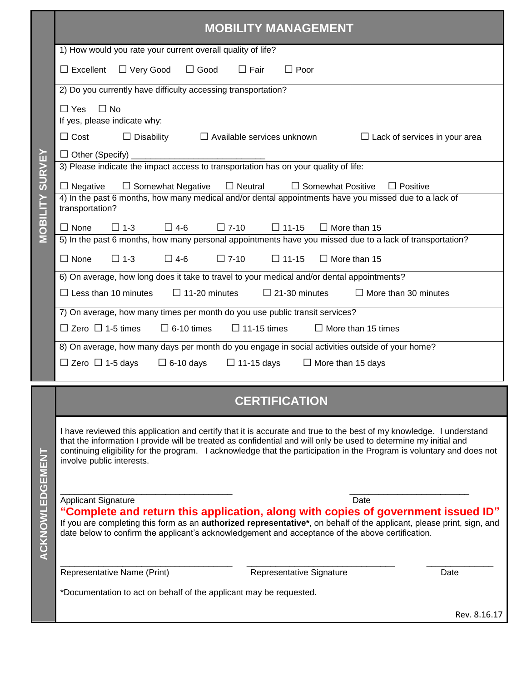|                                                                                                                                                                                                                                                               | <b>MOBILITY MANAGEMENT</b>                                                                                                                                                                                                                                                                                                                                                                    |  |  |  |  |  |  |
|---------------------------------------------------------------------------------------------------------------------------------------------------------------------------------------------------------------------------------------------------------------|-----------------------------------------------------------------------------------------------------------------------------------------------------------------------------------------------------------------------------------------------------------------------------------------------------------------------------------------------------------------------------------------------|--|--|--|--|--|--|
|                                                                                                                                                                                                                                                               | 1) How would you rate your current overall quality of life?                                                                                                                                                                                                                                                                                                                                   |  |  |  |  |  |  |
|                                                                                                                                                                                                                                                               | $\Box$ Good<br>$\Box$ Excellent $\Box$ Very Good<br>$\Box$ Fair<br>$\Box$ Poor                                                                                                                                                                                                                                                                                                                |  |  |  |  |  |  |
|                                                                                                                                                                                                                                                               | 2) Do you currently have difficulty accessing transportation?                                                                                                                                                                                                                                                                                                                                 |  |  |  |  |  |  |
|                                                                                                                                                                                                                                                               | $\Box$ No<br>$\Box$ Yes<br>If yes, please indicate why:<br>$\Box$ Cost<br>$\Box$ Disability<br>$\Box$ Available services unknown<br>$\Box$ Lack of services in your area                                                                                                                                                                                                                      |  |  |  |  |  |  |
|                                                                                                                                                                                                                                                               | $\Box$ Other (Specify) $\Box$<br>3) Please indicate the impact access to transportation has on your quality of life:                                                                                                                                                                                                                                                                          |  |  |  |  |  |  |
| <b>MOBILITY SURVEY</b><br>$\Box$ Neutral<br>□ Somewhat Positive<br>$\Box$ Negative<br>$\Box$ Somewhat Negative<br>$\Box$ Positive<br>4) In the past 6 months, how many medical and/or dental appointments have you missed due to a lack of<br>transportation? |                                                                                                                                                                                                                                                                                                                                                                                               |  |  |  |  |  |  |
|                                                                                                                                                                                                                                                               | $\Box$ None<br>$\Box$ 1-3<br>$\Box$ 4-6<br>$\Box$ 7-10<br>$\Box$ 11-15<br>$\Box$ More than 15                                                                                                                                                                                                                                                                                                 |  |  |  |  |  |  |
|                                                                                                                                                                                                                                                               | 5) In the past 6 months, how many personal appointments have you missed due to a lack of transportation?                                                                                                                                                                                                                                                                                      |  |  |  |  |  |  |
|                                                                                                                                                                                                                                                               | $\Box$ 7-10<br>$\Box$ None<br>$\Box$ 1-3<br>$\Box$ 4-6<br>$\Box$ 11-15<br>$\Box$ More than 15                                                                                                                                                                                                                                                                                                 |  |  |  |  |  |  |
|                                                                                                                                                                                                                                                               | 6) On average, how long does it take to travel to your medical and/or dental appointments?                                                                                                                                                                                                                                                                                                    |  |  |  |  |  |  |
|                                                                                                                                                                                                                                                               | $\Box$ Less than 10 minutes<br>$\Box$ 11-20 minutes<br>$\Box$ 21-30 minutes<br>$\Box$ More than 30 minutes                                                                                                                                                                                                                                                                                    |  |  |  |  |  |  |
|                                                                                                                                                                                                                                                               | 7) On average, how many times per month do you use public transit services?                                                                                                                                                                                                                                                                                                                   |  |  |  |  |  |  |
|                                                                                                                                                                                                                                                               | $\Box$ Zero $\Box$ 1-5 times<br>$\Box$ 6-10 times<br>$\Box$ 11-15 times<br>$\Box$ More than 15 times                                                                                                                                                                                                                                                                                          |  |  |  |  |  |  |
|                                                                                                                                                                                                                                                               | 8) On average, how many days per month do you engage in social activities outside of your home?                                                                                                                                                                                                                                                                                               |  |  |  |  |  |  |
|                                                                                                                                                                                                                                                               | $\Box$ Zero $\Box$ 1-5 days<br>$\Box$ 6-10 days<br>$\Box$ 11-15 days<br>$\Box$ More than 15 days                                                                                                                                                                                                                                                                                              |  |  |  |  |  |  |
|                                                                                                                                                                                                                                                               |                                                                                                                                                                                                                                                                                                                                                                                               |  |  |  |  |  |  |
|                                                                                                                                                                                                                                                               | <b>CERTIFICATION</b>                                                                                                                                                                                                                                                                                                                                                                          |  |  |  |  |  |  |
|                                                                                                                                                                                                                                                               | I have reviewed this application and certify that it is accurate and true to the best of my knowledge. I understand<br>that the information I provide will be treated as confidential and will only be used to determine my initial and<br>continuing eligibility for the program. I acknowledge that the participation in the Program is voluntary and does not<br>involve public interests. |  |  |  |  |  |  |
|                                                                                                                                                                                                                                                               | <b>Applicant Signature</b><br>Date<br>"Complete and return this application, along with copies of government issued ID"                                                                                                                                                                                                                                                                       |  |  |  |  |  |  |
| ACKNOWLEDGEMENT                                                                                                                                                                                                                                               | If you are completing this form as an authorized representative*, on behalf of the applicant, please print, sign, and<br>date below to confirm the applicant's acknowledgement and acceptance of the above certification.                                                                                                                                                                     |  |  |  |  |  |  |
|                                                                                                                                                                                                                                                               | Representative Name (Print)<br>Representative Signature<br>Date                                                                                                                                                                                                                                                                                                                               |  |  |  |  |  |  |
|                                                                                                                                                                                                                                                               | *Documentation to act on behalf of the applicant may be requested.                                                                                                                                                                                                                                                                                                                            |  |  |  |  |  |  |
|                                                                                                                                                                                                                                                               | Rev. 8.16.17                                                                                                                                                                                                                                                                                                                                                                                  |  |  |  |  |  |  |